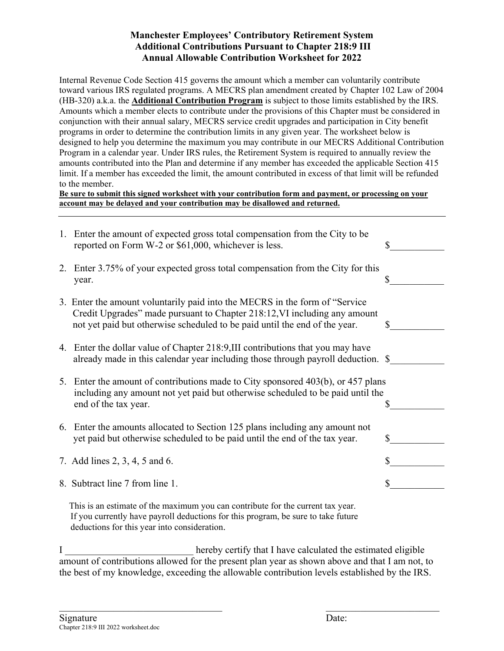## **Manchester Employees' Contributory Retirement System Additional Contributions Pursuant to Chapter 218:9 III Annual Allowable Contribution Worksheet for 2022**

Internal Revenue Code Section 415 governs the amount which a member can voluntarily contribute toward various IRS regulated programs. A MECRS plan amendment created by Chapter 102 Law of 2004 (HB-320) a.k.a. the **Additional Contribution Program** is subject to those limits established by the IRS. Amounts which a member elects to contribute under the provisions of this Chapter must be considered in conjunction with their annual salary, MECRS service credit upgrades and participation in City benefit programs in order to determine the contribution limits in any given year. The worksheet below is designed to help you determine the maximum you may contribute in our MECRS Additional Contribution Program in a calendar year. Under IRS rules, the Retirement System is required to annually review the amounts contributed into the Plan and determine if any member has exceeded the applicable Section 415 limit. If a member has exceeded the limit, the amount contributed in excess of that limit will be refunded to the member.

**Be sure to submit this signed worksheet with your contribution form and payment, or processing on your account may be delayed and your contribution may be disallowed and returned.** 

|    | 1. Enter the amount of expected gross total compensation from the City to be<br>reported on Form W-2 or \$61,000, whichever is less.                                                                                                    | \$ |
|----|-----------------------------------------------------------------------------------------------------------------------------------------------------------------------------------------------------------------------------------------|----|
| 2. | Enter 3.75% of your expected gross total compensation from the City for this<br>year.                                                                                                                                                   | S  |
|    | 3. Enter the amount voluntarily paid into the MECRS in the form of "Service"<br>Credit Upgrades" made pursuant to Chapter 218:12, VI including any amount<br>not yet paid but otherwise scheduled to be paid until the end of the year. | Я  |
|    | 4. Enter the dollar value of Chapter 218:9, III contributions that you may have<br>already made in this calendar year including those through payroll deduction. \$                                                                     |    |
|    | 5. Enter the amount of contributions made to City sponsored 403(b), or 457 plans<br>including any amount not yet paid but otherwise scheduled to be paid until the<br>end of the tax year.                                              |    |
|    | 6. Enter the amounts allocated to Section 125 plans including any amount not<br>yet paid but otherwise scheduled to be paid until the end of the tax year.                                                                              | S  |
|    | 7. Add lines 2, 3, 4, 5 and 6.                                                                                                                                                                                                          | \$ |
|    | 8. Subtract line 7 from line 1.                                                                                                                                                                                                         | \$ |
|    | This is an estimate of the maximum you can contribute for the current tax year.<br>If you currently have payroll deductions for this program, be sure to take future                                                                    |    |

deductions for this year into consideration.

I consider the extended the estimated eligible in the estimated eligible in the estimated eligible amount of contributions allowed for the present plan year as shown above and that I am not, to the best of my knowledge, exceeding the allowable contribution levels established by the IRS.